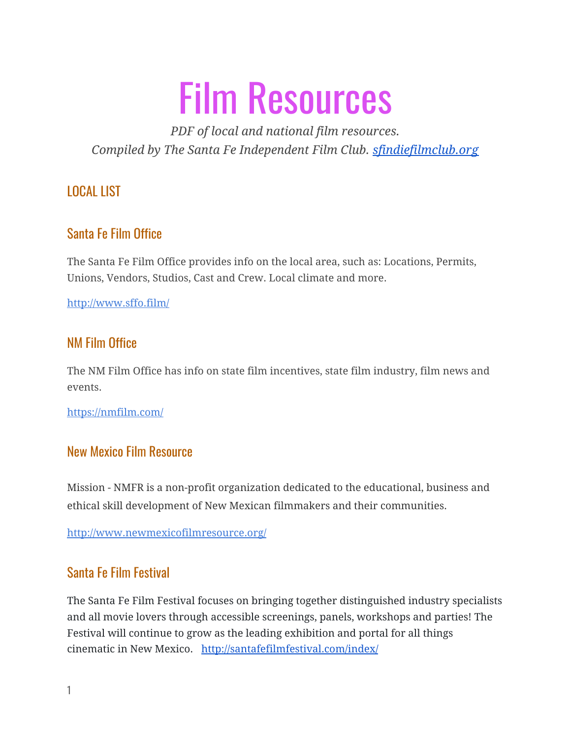# Film Resources

*PDF of local and national film resources. Compiled by The Santa Fe Independent Film Club. [sfindiefilmclub.org](https://www.sfindiefilmclub.org/)*

LOCAL LIST

# Santa Fe Film Office

The Santa Fe Film Office provides info on the local area, such as: Locations, Permits, Unions, Vendors, Studios, Cast and Crew. Local climate and more.

http://www.sffo.film/

# NM Film Office

The NM Film Office has info on state film incentives, state film industry, film news and events.

https://nmfilm.com/

## New Mexico Film Resource

Mission - NMFR is a non-profit organization dedicated to the educational, business and ethical skill development of New Mexican filmmakers and their communities.

http://www.newmexicofilmresource.org/

# Santa Fe Film Festival

The Santa Fe Film Festival focuses on bringing together distinguished industry specialists and all movie lovers through accessible screenings, panels, workshops and parties! The Festival will continue to grow as the leading exhibition and portal for all things cinematic in New Mexico. <http://santafefilmfestival.com/index/>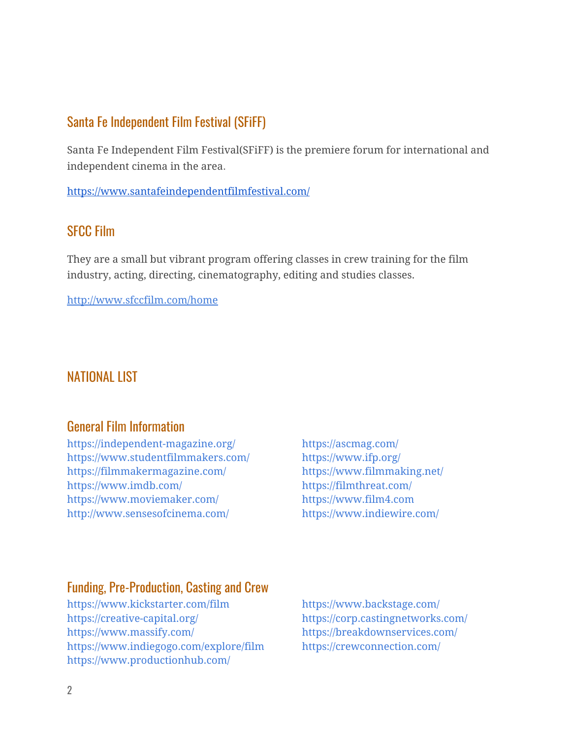## Santa Fe Independent Film Festival (SFiFF)

Santa Fe Independent Film Festival(SFiFF) is the premiere forum for international and independent cinema in the area.

<https://www.santafeindependentfilmfestival.com/>

## SFCC Film

They are a small but vibrant program offering classes in crew training for the film industry, acting, directing, cinematography, editing and studies classes.

http://www.sfccfilm.com/home

# NATIONAL LIST

## General Film Information

https://independent-magazine.org/ https://ascmag.com/ https://www.studentfilmmakers.com/ https://www.ifp.org/ https://filmmakermagazine.com/ https://www.filmmaking.net/ https://www.imdb.com/ https://filmthreat.com/ https://www.moviemaker.com/ https://www.film4.com http://www.sensesofcinema.com/ https://www.indiewire.com/

## Funding, Pre-Production, Casting and Crew

https://www.kickstarter.com/film https://www.backstage.com/ https://creative-capital.org/ https://corp.castingnetworks.com/ https://www.massify.com/ https://breakdownservices.com/ https://www.indiegogo.com/explore/film https://crewconnection.com/ https://www.productionhub.com/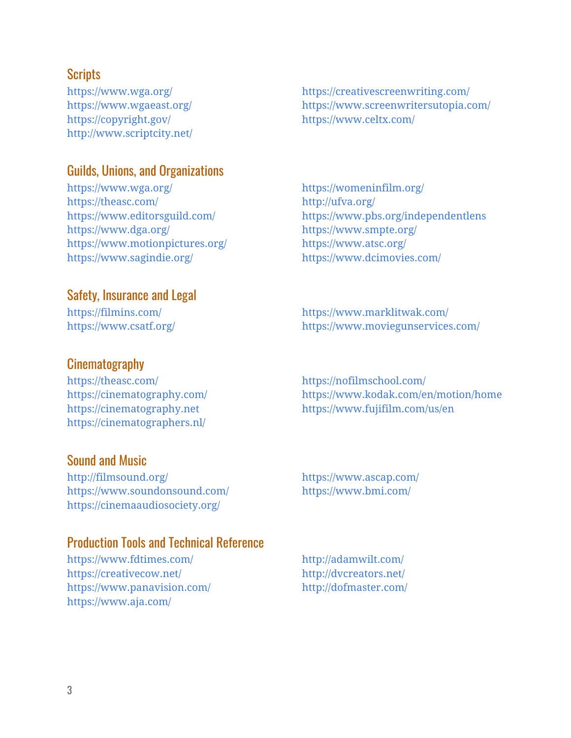## **Scripts**

https://copyright.gov/ https://www.celtx.com/ http://www.scriptcity.net/

#### Guilds, Unions, and Organizations

https://www.wga.org/ https://womeninfilm.org/ https://theasc.com/ http://ufva.org/ https://www.dga.org/ https://www.smpte.org/ https://www.motionpictures.org/ https://www.atsc.org/ https://www.sagindie.org/ https://www.dcimovies.com/

## Safety, Insurance and Legal

## **Cinematography**

https://theasc.com/ https://nofilmschool.com/ https://cinematographers.nl/

#### Sound and Music

http://filmsound.org/ https://www.ascap.com/ https://www.soundonsound.com/ https://www.bmi.com/ https://cinemaaudiosociety.org/

#### Production Tools and Technical Reference

https://www.fdtimes.com/ http://adamwilt.com/ https://creativecow.net/ http://dvcreators.net/ https://www.panavision.com/ http://dofmaster.com/ https://www.aja.com/

https://www.wga.org/ https://creativescreenwriting.com/ https://www.wgaeast.org/ https://www.screenwritersutopia.com/

https://www.editorsguild.com/ https://www.pbs.org/independentlens

https://filmins.com/ https://www.marklitwak.com/ https://www.csatf.org/ https://www.moviegunservices.com/

https://cinematography.com/ https://www.kodak.com/en/motion/home https://cinematography.net https://www.fujifilm.com/us/en